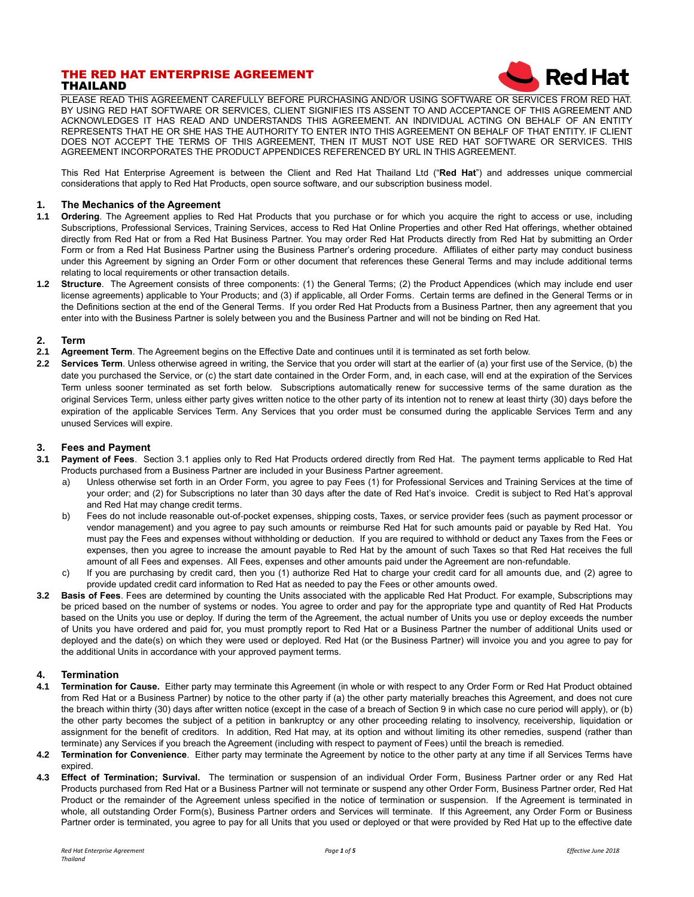# THE RED HAT ENTERPRISE AGREEMENT THAILAND



PLEASE READ THIS AGREEMENT CAREFULLY BEFORE PURCHASING AND/OR USING SOFTWARE OR SERVICES FROM RED HAT. BY USING RED HAT SOFTWARE OR SERVICES, CLIENT SIGNIFIES ITS ASSENT TO AND ACCEPTANCE OF THIS AGREEMENT AND ACKNOWLEDGES IT HAS READ AND UNDERSTANDS THIS AGREEMENT. AN INDIVIDUAL ACTING ON BEHALF OF AN ENTITY REPRESENTS THAT HE OR SHE HAS THE AUTHORITY TO ENTER INTO THIS AGREEMENT ON BEHALF OF THAT ENTITY. IF CLIENT DOES NOT ACCEPT THE TERMS OF THIS AGREEMENT, THEN IT MUST NOT USE RED HAT SOFTWARE OR SERVICES. THIS AGREEMENT INCORPORATES THE PRODUCT APPENDICES REFERENCED BY URL IN THIS AGREEMENT.

This Red Hat Enterprise Agreement is between the Client and Red Hat Thailand Ltd ("**Red Hat**") and addresses unique commercial considerations that apply to Red Hat Products, open source software, and our subscription business model.

#### **1. The Mechanics of the Agreement**

- **1.1 Ordering**. The Agreement applies to Red Hat Products that you purchase or for which you acquire the right to access or use, including Subscriptions, Professional Services, Training Services, access to Red Hat Online Properties and other Red Hat offerings, whether obtained directly from Red Hat or from a Red Hat Business Partner. You may order Red Hat Products directly from Red Hat by submitting an Order Form or from a Red Hat Business Partner using the Business Partner's ordering procedure. Affiliates of either party may conduct business under this Agreement by signing an Order Form or other document that references these General Terms and may include additional terms relating to local requirements or other transaction details.
- **1.2 Structure**. The Agreement consists of three components: (1) the General Terms; (2) the Product Appendices (which may include end user license agreements) applicable to Your Products; and (3) if applicable, all Order Forms. Certain terms are defined in the General Terms or in the Definitions section at the end of the General Terms. If you order Red Hat Products from a Business Partner, then any agreement that you enter into with the Business Partner is solely between you and the Business Partner and will not be binding on Red Hat.

- **2. Term 2.1 Agreement Term**. The Agreement begins on the Effective Date and continues until it is terminated as set forth below.
- **2.2 Services Term**. Unless otherwise agreed in writing, the Service that you order will start at the earlier of (a) your first use of the Service, (b) the date you purchased the Service, or (c) the start date contained in the Order Form, and, in each case, will end at the expiration of the Services Term unless sooner terminated as set forth below. Subscriptions automatically renew for successive terms of the same duration as the original Services Term, unless either party gives written notice to the other party of its intention not to renew at least thirty (30) days before the expiration of the applicable Services Term. Any Services that you order must be consumed during the applicable Services Term and any unused Services will expire.

### **3. Fees and Payment**

- **3.1 Payment of Fees**. Section 3.1 applies only to Red Hat Products ordered directly from Red Hat. The payment terms applicable to Red Hat Products purchased from a Business Partner are included in your Business Partner agreement.
	- a) Unless otherwise set forth in an Order Form, you agree to pay Fees (1) for Professional Services and Training Services at the time of your order; and (2) for Subscriptions no later than 30 days after the date of Red Hat's invoice. Credit is subject to Red Hat's approval and Red Hat may change credit terms.
	- b) Fees do not include reasonable out-of-pocket expenses, shipping costs, Taxes, or service provider fees (such as payment processor or vendor management) and you agree to pay such amounts or reimburse Red Hat for such amounts paid or payable by Red Hat. You must pay the Fees and expenses without withholding or deduction. If you are required to withhold or deduct any Taxes from the Fees or expenses, then you agree to increase the amount payable to Red Hat by the amount of such Taxes so that Red Hat receives the full amount of all Fees and expenses. All Fees, expenses and other amounts paid under the Agreement are non-refundable.
	- c) If you are purchasing by credit card, then you (1) authorize Red Hat to charge your credit card for all amounts due, and (2) agree to provide updated credit card information to Red Hat as needed to pay the Fees or other amounts owed.
- **3.2 Basis of Fees**. Fees are determined by counting the Units associated with the applicable Red Hat Product. For example, Subscriptions may be priced based on the number of systems or nodes. You agree to order and pay for the appropriate type and quantity of Red Hat Products based on the Units you use or deploy. If during the term of the Agreement, the actual number of Units you use or deploy exceeds the number of Units you have ordered and paid for, you must promptly report to Red Hat or a Business Partner the number of additional Units used or deployed and the date(s) on which they were used or deployed. Red Hat (or the Business Partner) will invoice you and you agree to pay for the additional Units in accordance with your approved payment terms.

# **4. Termination**

- **4.1 Termination for Cause.** Either party may terminate this Agreement (in whole or with respect to any Order Form or Red Hat Product obtained from Red Hat or a Business Partner) by notice to the other party if (a) the other party materially breaches this Agreement, and does not cure the breach within thirty (30) days after written notice (except in the case of a breach of Section 9 in which case no cure period will apply), or (b) the other party becomes the subject of a petition in bankruptcy or any other proceeding relating to insolvency, receivership, liquidation or assignment for the benefit of creditors. In addition, Red Hat may, at its option and without limiting its other remedies, suspend (rather than terminate) any Services if you breach the Agreement (including with respect to payment of Fees) until the breach is remedied.
- **4.2 Termination for Convenience**. Either party may terminate the Agreement by notice to the other party at any time if all Services Terms have expired.
- **4.3 Effect of Termination; Survival.** The termination or suspension of an individual Order Form, Business Partner order or any Red Hat Products purchased from Red Hat or a Business Partner will not terminate or suspend any other Order Form, Business Partner order, Red Hat Product or the remainder of the Agreement unless specified in the notice of termination or suspension. If the Agreement is terminated in whole, all outstanding Order Form(s), Business Partner orders and Services will terminate. If this Agreement, any Order Form or Business Partner order is terminated, you agree to pay for all Units that you used or deployed or that were provided by Red Hat up to the effective date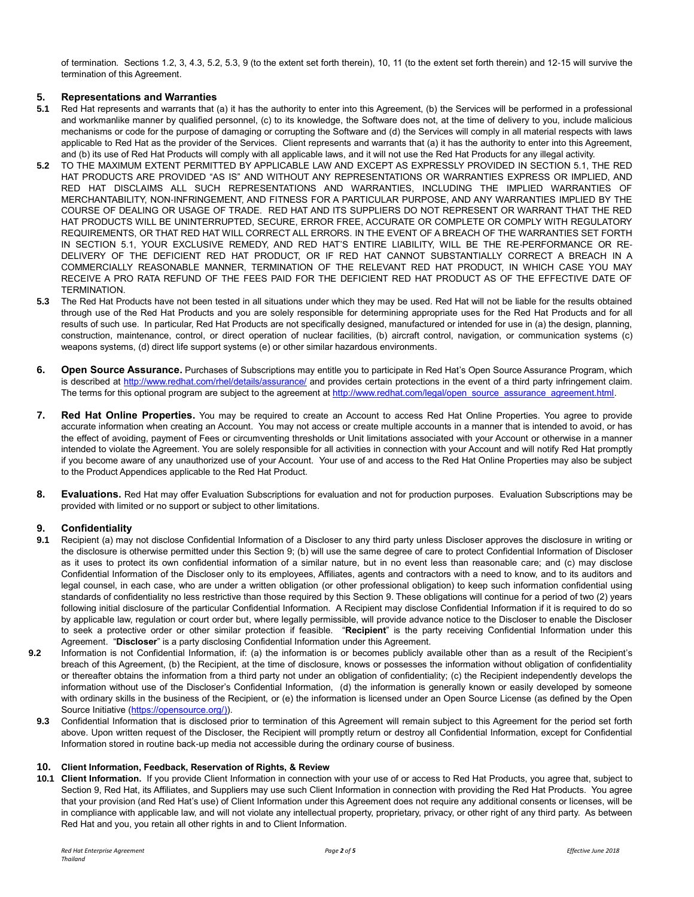of termination. Sections 1.2, 3, 4.3, 5.2, 5.3, 9 (to the extent set forth therein), 10, 11 (to the extent set forth therein) and 12-15 will survive the termination of this Agreement.

# **5. Representations and Warranties**

- **5.1** Red Hat represents and warrants that (a) it has the authority to enter into this Agreement, (b) the Services will be performed in a professional and workmanlike manner by qualified personnel, (c) to its knowledge, the Software does not, at the time of delivery to you, include malicious mechanisms or code for the purpose of damaging or corrupting the Software and (d) the Services will comply in all material respects with laws applicable to Red Hat as the provider of the Services. Client represents and warrants that (a) it has the authority to enter into this Agreement, and (b) its use of Red Hat Products will comply with all applicable laws, and it will not use the Red Hat Products for any illegal activity.
- **5.2** TO THE MAXIMUM EXTENT PERMITTED BY APPLICABLE LAW AND EXCEPT AS EXPRESSLY PROVIDED IN SECTION 5.1, THE RED HAT PRODUCTS ARE PROVIDED "AS IS" AND WITHOUT ANY REPRESENTATIONS OR WARRANTIES EXPRESS OR IMPLIED, AND RED HAT DISCLAIMS ALL SUCH REPRESENTATIONS AND WARRANTIES, INCLUDING THE IMPLIED WARRANTIES OF MERCHANTABILITY, NON-INFRINGEMENT, AND FITNESS FOR A PARTICULAR PURPOSE, AND ANY WARRANTIES IMPLIED BY THE COURSE OF DEALING OR USAGE OF TRADE. RED HAT AND ITS SUPPLIERS DO NOT REPRESENT OR WARRANT THAT THE RED HAT PRODUCTS WILL BE UNINTERRUPTED, SECURE, ERROR FREE, ACCURATE OR COMPLETE OR COMPLY WITH REGULATORY REQUIREMENTS, OR THAT RED HAT WILL CORRECT ALL ERRORS. IN THE EVENT OF A BREACH OF THE WARRANTIES SET FORTH IN SECTION 5.1, YOUR EXCLUSIVE REMEDY, AND RED HAT'S ENTIRE LIABILITY, WILL BE THE RE-PERFORMANCE OR RE-DELIVERY OF THE DEFICIENT RED HAT PRODUCT, OR IF RED HAT CANNOT SUBSTANTIALLY CORRECT A BREACH IN A COMMERCIALLY REASONABLE MANNER, TERMINATION OF THE RELEVANT RED HAT PRODUCT, IN WHICH CASE YOU MAY RECEIVE A PRO RATA REFUND OF THE FEES PAID FOR THE DEFICIENT RED HAT PRODUCT AS OF THE EFFECTIVE DATE OF TERMINATION.
- **5.3** The Red Hat Products have not been tested in all situations under which they may be used. Red Hat will not be liable for the results obtained through use of the Red Hat Products and you are solely responsible for determining appropriate uses for the Red Hat Products and for all results of such use. In particular, Red Hat Products are not specifically designed, manufactured or intended for use in (a) the design, planning, construction, maintenance, control, or direct operation of nuclear facilities, (b) aircraft control, navigation, or communication systems (c) weapons systems, (d) direct life support systems (e) or other similar hazardous environments.
- **6. Open Source Assurance.** Purchases of Subscriptions may entitle you to participate in Red Hat's Open Source Assurance Program, which is described at<http://www.redhat.com/rhel/details/assurance/> and provides certain protections in the event of a third party infringement claim. The terms for this optional program are subject to the agreement at [http://www.redhat.com/legal/open\\_source\\_assurance\\_agreement.html.](http://www.redhat.com/legal/open_source_assurance_agreement.html)
- **7. Red Hat Online Properties.** You may be required to create an Account to access Red Hat Online Properties. You agree to provide accurate information when creating an Account. You may not access or create multiple accounts in a manner that is intended to avoid, or has the effect of avoiding, payment of Fees or circumventing thresholds or Unit limitations associated with your Account or otherwise in a manner intended to violate the Agreement. You are solely responsible for all activities in connection with your Account and will notify Red Hat promptly if you become aware of any unauthorized use of your Account. Your use of and access to the Red Hat Online Properties may also be subject to the Product Appendices applicable to the Red Hat Product.
- **8. Evaluations.** Red Hat may offer Evaluation Subscriptions for evaluation and not for production purposes. Evaluation Subscriptions may be provided with limited or no support or subject to other limitations.

#### **9. Confidentiality**

- **9.1** Recipient (a) may not disclose Confidential Information of a Discloser to any third party unless Discloser approves the disclosure in writing or the disclosure is otherwise permitted under this Section 9; (b) will use the same degree of care to protect Confidential Information of Discloser as it uses to protect its own confidential information of a similar nature, but in no event less than reasonable care; and (c) may disclose Confidential Information of the Discloser only to its employees, Affiliates, agents and contractors with a need to know, and to its auditors and legal counsel, in each case, who are under a written obligation (or other professional obligation) to keep such information confidential using standards of confidentiality no less restrictive than those required by this Section 9. These obligations will continue for a period of two (2) years following initial disclosure of the particular Confidential Information. A Recipient may disclose Confidential Information if it is required to do so by applicable law, regulation or court order but, where legally permissible, will provide advance notice to the Discloser to enable the Discloser to seek a protective order or other similar protection if feasible. "**Recipient**" is the party receiving Confidential Information under this Agreement. "**Discloser**" is a party disclosing Confidential Information under this Agreement.
- **9.2** Information is not Confidential Information, if: (a) the information is or becomes publicly available other than as a result of the Recipient's breach of this Agreement, (b) the Recipient, at the time of disclosure, knows or possesses the information without obligation of confidentiality or thereafter obtains the information from a third party not under an obligation of confidentiality; (c) the Recipient independently develops the information without use of the Discloser's Confidential Information, (d) the information is generally known or easily developed by someone with ordinary skills in the business of the Recipient, or (e) the information is licensed under an Open Source License (as defined by the Open Source Initiative [\(https://opensource.org/\)\)](https://opensource.org/).
	- **9.3** Confidential Information that is disclosed prior to termination of this Agreement will remain subject to this Agreement for the period set forth above. Upon written request of the Discloser, the Recipient will promptly return or destroy all Confidential Information, except for Confidential Information stored in routine back-up media not accessible during the ordinary course of business.

#### **10. Client Information, Feedback, Reservation of Rights, & Review**

**10.1 Client Information.** If you provide Client Information in connection with your use of or access to Red Hat Products, you agree that, subject to Section 9, Red Hat, its Affiliates, and Suppliers may use such Client Information in connection with providing the Red Hat Products. You agree that your provision (and Red Hat's use) of Client Information under this Agreement does not require any additional consents or licenses, will be in compliance with applicable law, and will not violate any intellectual property, proprietary, privacy, or other right of any third party. As between Red Hat and you, you retain all other rights in and to Client Information.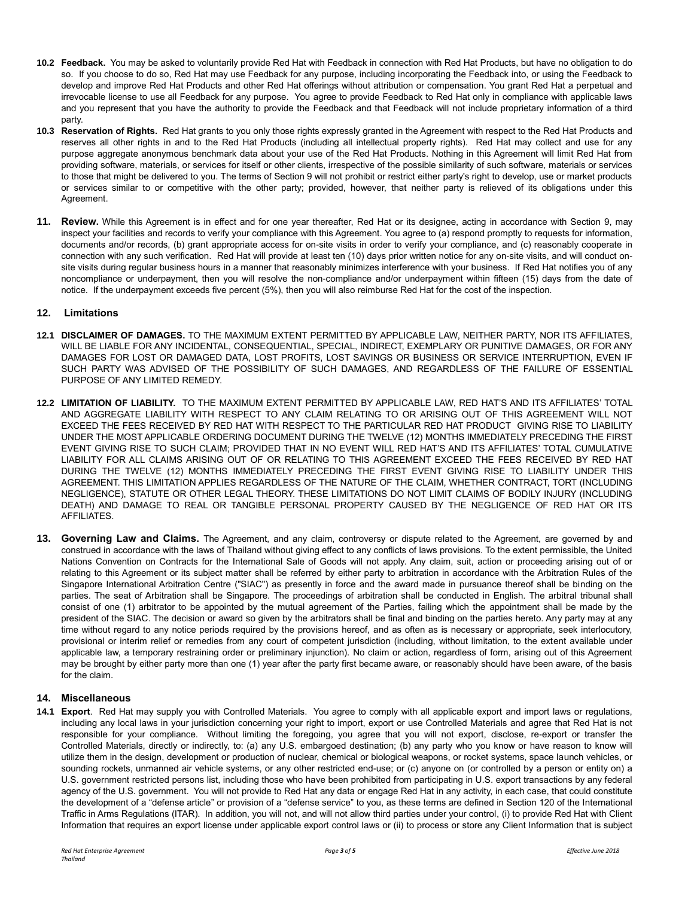- **10.2 Feedback.** You may be asked to voluntarily provide Red Hat with Feedback in connection with Red Hat Products, but have no obligation to do so. If you choose to do so, Red Hat may use Feedback for any purpose, including incorporating the Feedback into, or using the Feedback to develop and improve Red Hat Products and other Red Hat offerings without attribution or compensation. You grant Red Hat a perpetual and irrevocable license to use all Feedback for any purpose. You agree to provide Feedback to Red Hat only in compliance with applicable laws and you represent that you have the authority to provide the Feedback and that Feedback will not include proprietary information of a third party.
- **10.3 Reservation of Rights.** Red Hat grants to you only those rights expressly granted in the Agreement with respect to the Red Hat Products and reserves all other rights in and to the Red Hat Products (including all intellectual property rights). Red Hat may collect and use for any purpose aggregate anonymous benchmark data about your use of the Red Hat Products. Nothing in this Agreement will limit Red Hat from providing software, materials, or services for itself or other clients, irrespective of the possible similarity of such software, materials or services to those that might be delivered to you. The terms of Section 9 will not prohibit or restrict either party's right to develop, use or market products or services similar to or competitive with the other party; provided, however, that neither party is relieved of its obligations under this Agreement.
- **11. Review.** While this Agreement is in effect and for one year thereafter, Red Hat or its designee, acting in accordance with Section 9, may inspect your facilities and records to verify your compliance with this Agreement. You agree to (a) respond promptly to requests for information, documents and/or records, (b) grant appropriate access for on-site visits in order to verify your compliance, and (c) reasonably cooperate in connection with any such verification. Red Hat will provide at least ten (10) days prior written notice for any on-site visits, and will conduct onsite visits during regular business hours in a manner that reasonably minimizes interference with your business. If Red Hat notifies you of any noncompliance or underpayment, then you will resolve the non-compliance and/or underpayment within fifteen (15) days from the date of notice. If the underpayment exceeds five percent (5%), then you will also reimburse Red Hat for the cost of the inspection.

### **12. Limitations**

- **12.1 DISCLAIMER OF DAMAGES.** TO THE MAXIMUM EXTENT PERMITTED BY APPLICABLE LAW, NEITHER PARTY, NOR ITS AFFILIATES, WILL BE LIABLE FOR ANY INCIDENTAL, CONSEQUENTIAL, SPECIAL, INDIRECT, EXEMPLARY OR PUNITIVE DAMAGES, OR FOR ANY DAMAGES FOR LOST OR DAMAGED DATA, LOST PROFITS, LOST SAVINGS OR BUSINESS OR SERVICE INTERRUPTION, EVEN IF SUCH PARTY WAS ADVISED OF THE POSSIBILITY OF SUCH DAMAGES, AND REGARDLESS OF THE FAILURE OF ESSENTIAL PURPOSE OF ANY LIMITED REMEDY.
- **12.2 LIMITATION OF LIABILITY.** TO THE MAXIMUM EXTENT PERMITTED BY APPLICABLE LAW, RED HAT'S AND ITS AFFILIATES' TOTAL AND AGGREGATE LIABILITY WITH RESPECT TO ANY CLAIM RELATING TO OR ARISING OUT OF THIS AGREEMENT WILL NOT EXCEED THE FEES RECEIVED BY RED HAT WITH RESPECT TO THE PARTICULAR RED HAT PRODUCT GIVING RISE TO LIABILITY UNDER THE MOST APPLICABLE ORDERING DOCUMENT DURING THE TWELVE (12) MONTHS IMMEDIATELY PRECEDING THE FIRST EVENT GIVING RISE TO SUCH CLAIM; PROVIDED THAT IN NO EVENT WILL RED HAT'S AND ITS AFFILIATES' TOTAL CUMULATIVE LIABILITY FOR ALL CLAIMS ARISING OUT OF OR RELATING TO THIS AGREEMENT EXCEED THE FEES RECEIVED BY RED HAT DURING THE TWELVE (12) MONTHS IMMEDIATELY PRECEDING THE FIRST EVENT GIVING RISE TO LIABILITY UNDER THIS AGREEMENT. THIS LIMITATION APPLIES REGARDLESS OF THE NATURE OF THE CLAIM, WHETHER CONTRACT, TORT (INCLUDING NEGLIGENCE), STATUTE OR OTHER LEGAL THEORY. THESE LIMITATIONS DO NOT LIMIT CLAIMS OF BODILY INJURY (INCLUDING DEATH) AND DAMAGE TO REAL OR TANGIBLE PERSONAL PROPERTY CAUSED BY THE NEGLIGENCE OF RED HAT OR ITS AFFILIATES.
- **13. Governing Law and Claims.** The Agreement, and any claim, controversy or dispute related to the Agreement, are governed by and construed in accordance with the laws of Thailand without giving effect to any conflicts of laws provisions. To the extent permissible, the United Nations Convention on Contracts for the International Sale of Goods will not apply. Any claim, suit, action or proceeding arising out of or relating to this Agreement or its subject matter shall be referred by either party to arbitration in accordance with the Arbitration Rules of the Singapore International Arbitration Centre ("SIAC") as presently in force and the award made in pursuance thereof shall be binding on the parties. The seat of Arbitration shall be Singapore. The proceedings of arbitration shall be conducted in English. The arbitral tribunal shall consist of one (1) arbitrator to be appointed by the mutual agreement of the Parties, failing which the appointment shall be made by the president of the SIAC. The decision or award so given by the arbitrators shall be final and binding on the parties hereto. Any party may at any time without regard to any notice periods required by the provisions hereof, and as often as is necessary or appropriate, seek interlocutory, provisional or interim relief or remedies from any court of competent jurisdiction (including, without limitation, to the extent available under applicable law, a temporary restraining order or preliminary injunction). No claim or action, regardless of form, arising out of this Agreement may be brought by either party more than one (1) year after the party first became aware, or reasonably should have been aware, of the basis for the claim.

# **14. Miscellaneous**

**14.1 Export**. Red Hat may supply you with Controlled Materials. You agree to comply with all applicable export and import laws or regulations, including any local laws in your jurisdiction concerning your right to import, export or use Controlled Materials and agree that Red Hat is not responsible for your compliance. Without limiting the foregoing, you agree that you will not export, disclose, re-export or transfer the Controlled Materials, directly or indirectly, to: (a) any U.S. embargoed destination; (b) any party who you know or have reason to know will utilize them in the design, development or production of nuclear, chemical or biological weapons, or rocket systems, space launch vehicles, or sounding rockets, unmanned air vehicle systems, or any other restricted end-use; or (c) anyone on (or controlled by a person or entity on) a U.S. government restricted persons list, including those who have been prohibited from participating in U.S. export transactions by any federal agency of the U.S. government. You will not provide to Red Hat any data or engage Red Hat in any activity, in each case, that could constitute the development of a "defense article" or provision of a "defense service" to you, as these terms are defined in Section 120 of the International Traffic in Arms Regulations (ITAR). In addition, you will not, and will not allow third parties under your control, (i) to provide Red Hat with Client Information that requires an export license under applicable export control laws or (ii) to process or store any Client Information that is subject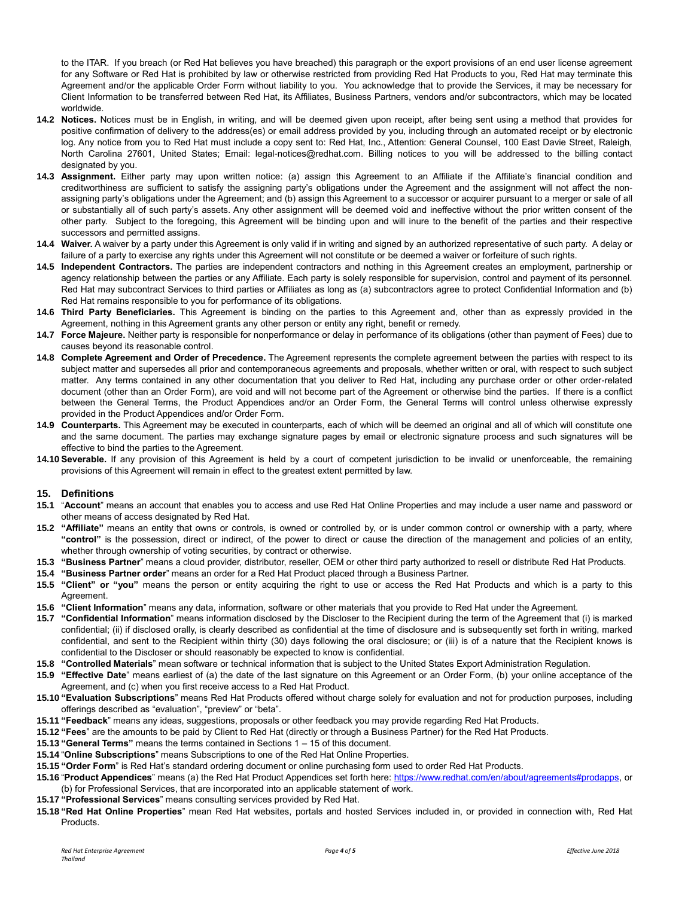to the ITAR. If you breach (or Red Hat believes you have breached) this paragraph or the export provisions of an end user license agreement for any Software or Red Hat is prohibited by law or otherwise restricted from providing Red Hat Products to you, Red Hat may terminate this Agreement and/or the applicable Order Form without liability to you. You acknowledge that to provide the Services, it may be necessary for Client Information to be transferred between Red Hat, its Affiliates, Business Partners, vendors and/or subcontractors, which may be located worldwide.

- **14.2 Notices.** Notices must be in English, in writing, and will be deemed given upon receipt, after being sent using a method that provides for positive confirmation of delivery to the address(es) or email address provided by you, including through an automated receipt or by electronic log. Any notice from you to Red Hat must include a copy sent to: Red Hat, Inc., Attention: General Counsel, 100 East Davie Street, Raleigh, North Carolina 27601, United States; Email: legal-notices@redhat.com. Billing notices to you will be addressed to the billing contact designated by you.
- **14.3 Assignment.** Either party may upon written notice: (a) assign this Agreement to an Affiliate if the Affiliate's financial condition and creditworthiness are sufficient to satisfy the assigning party's obligations under the Agreement and the assignment will not affect the nonassigning party's obligations under the Agreement; and (b) assign this Agreement to a successor or acquirer pursuant to a merger or sale of all or substantially all of such party's assets. Any other assignment will be deemed void and ineffective without the prior written consent of the other party. Subject to the foregoing, this Agreement will be binding upon and will inure to the benefit of the parties and their respective successors and permitted assigns.
- **14.4 Waiver.** A waiver by a party under this Agreement is only valid if in writing and signed by an authorized representative of such party. A delay or failure of a party to exercise any rights under this Agreement will not constitute or be deemed a waiver or forfeiture of such rights.
- **14.5 Independent Contractors.** The parties are independent contractors and nothing in this Agreement creates an employment, partnership or agency relationship between the parties or any Affiliate. Each party is solely responsible for supervision, control and payment of its personnel. Red Hat may subcontract Services to third parties or Affiliates as long as (a) subcontractors agree to protect Confidential Information and (b) Red Hat remains responsible to you for performance of its obligations.
- **14.6 Third Party Beneficiaries.** This Agreement is binding on the parties to this Agreement and, other than as expressly provided in the Agreement, nothing in this Agreement grants any other person or entity any right, benefit or remedy.
- **14.7 Force Majeure.** Neither party is responsible for nonperformance or delay in performance of its obligations (other than payment of Fees) due to causes beyond its reasonable control.
- **14.8 Complete Agreement and Order of Precedence.** The Agreement represents the complete agreement between the parties with respect to its subject matter and supersedes all prior and contemporaneous agreements and proposals, whether written or oral, with respect to such subject matter. Any terms contained in any other documentation that you deliver to Red Hat, including any purchase order or other order-related document (other than an Order Form), are void and will not become part of the Agreement or otherwise bind the parties. If there is a conflict between the General Terms, the Product Appendices and/or an Order Form, the General Terms will control unless otherwise expressly provided in the Product Appendices and/or Order Form.
- **14.9 Counterparts.** This Agreement may be executed in counterparts, each of which will be deemed an original and all of which will constitute one and the same document. The parties may exchange signature pages by email or electronic signature process and such signatures will be effective to bind the parties to the Agreement.
- **14.10 Severable.** If any provision of this Agreement is held by a court of competent jurisdiction to be invalid or unenforceable, the remaining provisions of this Agreement will remain in effect to the greatest extent permitted by law.

# **15. Definitions**

- **15.1** "**Account**" means an account that enables you to access and use Red Hat Online Properties and may include a user name and password or other means of access designated by Red Hat.
- **15.2 "Affiliate"** means an entity that owns or controls, is owned or controlled by, or is under common control or ownership with a party, where **"control"** is the possession, direct or indirect, of the power to direct or cause the direction of the management and policies of an entity, whether through ownership of voting securities, by contract or otherwise.
- **15.3 "Business Partner**" means a cloud provider, distributor, reseller, OEM or other third party authorized to resell or distribute Red Hat Products.
- **15.4 "Business Partner order**" means an order for a Red Hat Product placed through a Business Partner.
- **15.5 "Client" or "you"** means the person or entity acquiring the right to use or access the Red Hat Products and which is a party to this Agreement
- **15.6 "Client Information**" means any data, information, software or other materials that you provide to Red Hat under the Agreement.
- **15.7 "Confidential Information**" means information disclosed by the Discloser to the Recipient during the term of the Agreement that (i) is marked confidential; (ii) if disclosed orally, is clearly described as confidential at the time of disclosure and is subsequently set forth in writing, marked confidential, and sent to the Recipient within thirty (30) days following the oral disclosure; or (iii) is of a nature that the Recipient knows is confidential to the Discloser or should reasonably be expected to know is confidential.
- **15.8 "Controlled Materials**" mean software or technical information that is subject to the United States Export Administration Regulation.
- **15.9 "Effective Date**" means earliest of (a) the date of the last signature on this Agreement or an Order Form, (b) your online acceptance of the Agreement, and (c) when you first receive access to a Red Hat Product.
- **15.10 "Evaluation Subscriptions**" means Red Hat Products offered without charge solely for evaluation and not for production purposes, including offerings described as "evaluation", "preview" or "beta".
- **15.11 "Feedback**" means any ideas, suggestions, proposals or other feedback you may provide regarding Red Hat Products.
- **15.12 "Fees**" are the amounts to be paid by Client to Red Hat (directly or through a Business Partner) for the Red Hat Products.
- **15.13 "General Terms"** means the terms contained in Sections 1 15 of this document.
- **15.14** "**Online Subscriptions**" means Subscriptions to one of the Red Hat Online Properties.
- **15.15 "Order Form**" is Red Hat's standard ordering document or online purchasing form used to order Red Hat Products.
- **15.16** "**Product Appendices**" means (a) the Red Hat Product Appendices set forth here[: https://www.redhat.com/en/about/agreements#prodapps,](https://www.redhat.com/en/about/agreements#prodapps) or (b) for Professional Services, that are incorporated into an applicable statement of work.
- **15.17 "Professional Services**" means consulting services provided by Red Hat.
- **15.18 "Red Hat Online Properties**" mean Red Hat websites, portals and hosted Services included in, or provided in connection with, Red Hat **Products**